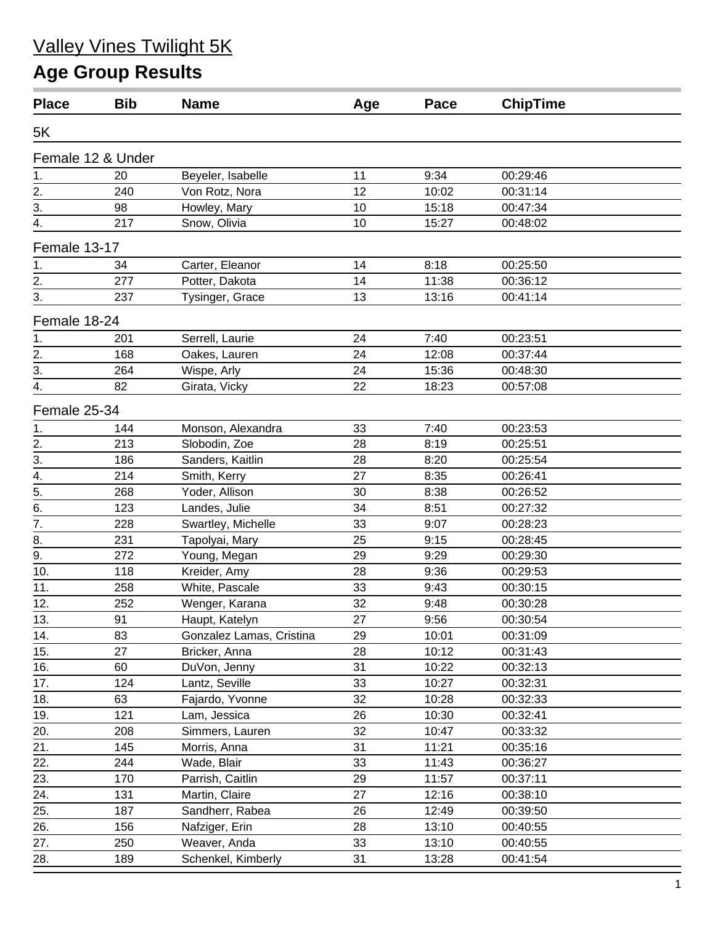# Valley Vines Twilight 5K

# **Age Group Results**

| <b>Place</b>     | <b>Bib</b>        | <b>Name</b>              | Age | Pace  | <b>ChipTime</b> |  |
|------------------|-------------------|--------------------------|-----|-------|-----------------|--|
| 5K               |                   |                          |     |       |                 |  |
|                  | Female 12 & Under |                          |     |       |                 |  |
| 1.               | 20                | Beyeler, Isabelle        | 11  | 9:34  | 00:29:46        |  |
| 2.               | 240               | Von Rotz, Nora           | 12  | 10:02 | 00:31:14        |  |
| 3.               | 98                | Howley, Mary             | 10  | 15:18 | 00:47:34        |  |
| 4.               | 217               | Snow, Olivia             | 10  | 15:27 | 00:48:02        |  |
| Female 13-17     |                   |                          |     |       |                 |  |
| 1.               | 34                | Carter, Eleanor          | 14  | 8:18  | 00:25:50        |  |
| 2.               | 277               | Potter, Dakota           | 14  | 11:38 | 00:36:12        |  |
| 3.               | 237               | Tysinger, Grace          | 13  | 13:16 | 00:41:14        |  |
| Female 18-24     |                   |                          |     |       |                 |  |
| 1.               | 201               | Serrell, Laurie          | 24  | 7:40  | 00:23:51        |  |
| 2.               | 168               | Oakes, Lauren            | 24  | 12:08 | 00:37:44        |  |
| 3.               | 264               | Wispe, Arly              | 24  | 15:36 | 00:48:30        |  |
| 4.               | 82                | Girata, Vicky            | 22  | 18:23 | 00:57:08        |  |
| Female 25-34     |                   |                          |     |       |                 |  |
| 1.               | 144               | Monson, Alexandra        | 33  | 7:40  | 00:23:53        |  |
|                  | 213               | Slobodin, Zoe            | 28  | 8:19  | 00:25:51        |  |
| $\frac{2}{3}$ .  | 186               | Sanders, Kaitlin         | 28  | 8:20  | 00:25:54        |  |
| 4.               | 214               | Smith, Kerry             | 27  | 8:35  | 00:26:41        |  |
| 5.               | 268               | Yoder, Allison           | 30  | 8:38  | 00:26:52        |  |
| 6.               | 123               | Landes, Julie            | 34  | 8:51  | 00:27:32        |  |
| $\frac{1}{7}$    | 228               | Swartley, Michelle       | 33  | 9:07  | 00:28:23        |  |
| 8.               | 231               | Tapolyai, Mary           | 25  | 9:15  | 00:28:45        |  |
| $\overline{9}$ . | 272               | Young, Megan             | 29  | 9:29  | 00:29:30        |  |
| 10.              | 118               | Kreider, Amy             | 28  | 9:36  | 00:29:53        |  |
| 11.              | 258               | White, Pascale           | 33  | 9:43  | 00:30:15        |  |
| 12.              | 252               | Wenger, Karana           | 32  | 9:48  | 00:30:28        |  |
| 13.              | 91                | Haupt, Katelyn           | 27  | 9:56  | 00:30:54        |  |
| 14.              | 83                | Gonzalez Lamas, Cristina | 29  | 10:01 | 00:31:09        |  |
| 15.              | 27                | Bricker, Anna            | 28  | 10:12 | 00:31:43        |  |
| 16.              | 60                | DuVon, Jenny             | 31  | 10:22 | 00:32:13        |  |
| 17.              | 124               | Lantz, Seville           | 33  | 10:27 | 00:32:31        |  |
| 18.              | 63                | Fajardo, Yvonne          | 32  | 10:28 | 00:32:33        |  |
| 19.              | 121               | Lam, Jessica             | 26  | 10:30 | 00:32:41        |  |
| 20.              | 208               | Simmers, Lauren          | 32  | 10:47 | 00:33:32        |  |
| 21.              | 145               | Morris, Anna             | 31  | 11:21 | 00:35:16        |  |
| 22.              | 244               | Wade, Blair              | 33  | 11:43 | 00:36:27        |  |
| 23.              | 170               | Parrish, Caitlin         | 29  | 11:57 | 00:37:11        |  |
| 24.              | 131               | Martin, Claire           | 27  | 12:16 | 00:38:10        |  |
| 25.              | 187               | Sandherr, Rabea          | 26  | 12:49 | 00:39:50        |  |
| 26.              | 156               | Nafziger, Erin           | 28  | 13:10 | 00:40:55        |  |
| 27.              | 250               | Weaver, Anda             | 33  | 13:10 | 00:40:55        |  |
| 28.              | 189               | Schenkel, Kimberly       | 31  | 13:28 | 00:41:54        |  |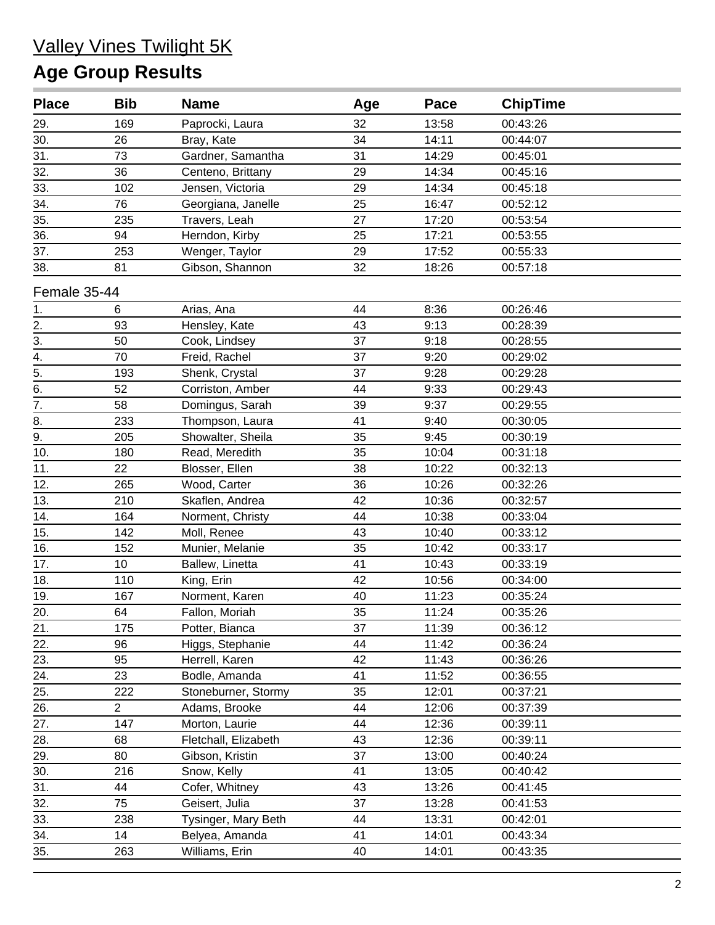### Valley Vines Twilight 5K **Age Group Results**

| <b>Place</b>      | <b>Bib</b>     | <b>Name</b>          | Age | Pace  | <b>ChipTime</b> |  |
|-------------------|----------------|----------------------|-----|-------|-----------------|--|
| 29.               | 169            | Paprocki, Laura      | 32  | 13:58 | 00:43:26        |  |
| 30.               | 26             | Bray, Kate           | 34  | 14:11 | 00:44:07        |  |
| 31.               | 73             | Gardner, Samantha    | 31  | 14:29 | 00:45:01        |  |
| 32.               | 36             | Centeno, Brittany    | 29  | 14:34 | 00:45:16        |  |
| 33.               | 102            | Jensen, Victoria     | 29  | 14:34 | 00:45:18        |  |
| $\overline{34}$ . | 76             | Georgiana, Janelle   | 25  | 16:47 | 00:52:12        |  |
| $\overline{35}$ . | 235            | Travers, Leah        | 27  | 17:20 | 00:53:54        |  |
| 36.               | 94             | Herndon, Kirby       | 25  | 17:21 | 00:53:55        |  |
| 37.               | 253            | Wenger, Taylor       | 29  | 17:52 | 00:55:33        |  |
| 38.               | 81             | Gibson, Shannon      | 32  | 18:26 | 00:57:18        |  |
| Female 35-44      |                |                      |     |       |                 |  |
| 1.                | 6              | Arias, Ana           | 44  | 8:36  | 00:26:46        |  |
| 2.                | 93             | Hensley, Kate        | 43  | 9:13  | 00:28:39        |  |
| $\overline{3}$ .  | 50             | Cook, Lindsey        | 37  | 9:18  | 00:28:55        |  |
| 4.                | 70             | Freid, Rachel        | 37  | 9:20  | 00:29:02        |  |
| $\overline{5}$ .  | 193            | Shenk, Crystal       | 37  | 9:28  | 00:29:28        |  |
| $\frac{6}{7}$     | 52             | Corriston, Amber     | 44  | 9:33  | 00:29:43        |  |
|                   | 58             | Domingus, Sarah      | 39  | 9:37  | 00:29:55        |  |
| 8.                | 233            | Thompson, Laura      | 41  | 9:40  | 00:30:05        |  |
| $\overline{9}$ .  | 205            | Showalter, Sheila    | 35  | 9:45  | 00:30:19        |  |
| 10.               | 180            | Read, Meredith       | 35  | 10:04 | 00:31:18        |  |
| 11.               | 22             | Blosser, Ellen       | 38  | 10:22 | 00:32:13        |  |
| 12.               | 265            | Wood, Carter         | 36  | 10:26 | 00:32:26        |  |
| 13.               | 210            | Skaflen, Andrea      | 42  | 10:36 | 00:32:57        |  |
| 14.               | 164            | Norment, Christy     | 44  | 10:38 | 00:33:04        |  |
| 15.               | 142            | Moll, Renee          | 43  | 10:40 | 00:33:12        |  |
| 16.               | 152            | Munier, Melanie      | 35  | 10:42 | 00:33:17        |  |
| 17.               | 10             | Ballew, Linetta      | 41  | 10:43 | 00:33:19        |  |
| 18.               | 110            | King, Erin           | 42  | 10:56 | 00:34:00        |  |
| 19.               | 167            | Norment, Karen       | 40  | 11:23 | 00:35:24        |  |
| 20.               | 64             | Fallon, Moriah       | 35  | 11:24 | 00:35:26        |  |
| 21.               | 175            | Potter, Bianca       | 37  | 11:39 | 00:36:12        |  |
| 22.               | 96             | Higgs, Stephanie     | 44  | 11:42 | 00:36:24        |  |
| 23.               | 95             | Herrell, Karen       | 42  | 11:43 | 00:36:26        |  |
| 24.               | 23             | Bodle, Amanda        | 41  | 11:52 | 00:36:55        |  |
| 25.               | 222            | Stoneburner, Stormy  | 35  | 12:01 | 00:37:21        |  |
| 26.               | $\overline{2}$ | Adams, Brooke        | 44  | 12:06 | 00:37:39        |  |
| 27.               | 147            | Morton, Laurie       | 44  | 12:36 | 00:39:11        |  |
| 28.               | 68             | Fletchall, Elizabeth | 43  | 12:36 | 00:39:11        |  |
| 29.               | 80             | Gibson, Kristin      | 37  | 13:00 | 00:40:24        |  |
| 30.               | 216            | Snow, Kelly          | 41  | 13:05 | 00:40:42        |  |
| 31.               | 44             | Cofer, Whitney       | 43  | 13:26 | 00:41:45        |  |
| 32.               | 75             | Geisert, Julia       | 37  | 13:28 | 00:41:53        |  |
| 33.               | 238            | Tysinger, Mary Beth  | 44  | 13:31 | 00:42:01        |  |
| 34.               | 14             | Belyea, Amanda       | 41  | 14:01 | 00:43:34        |  |
| 35.               | 263            | Williams, Erin       | 40  | 14:01 | 00:43:35        |  |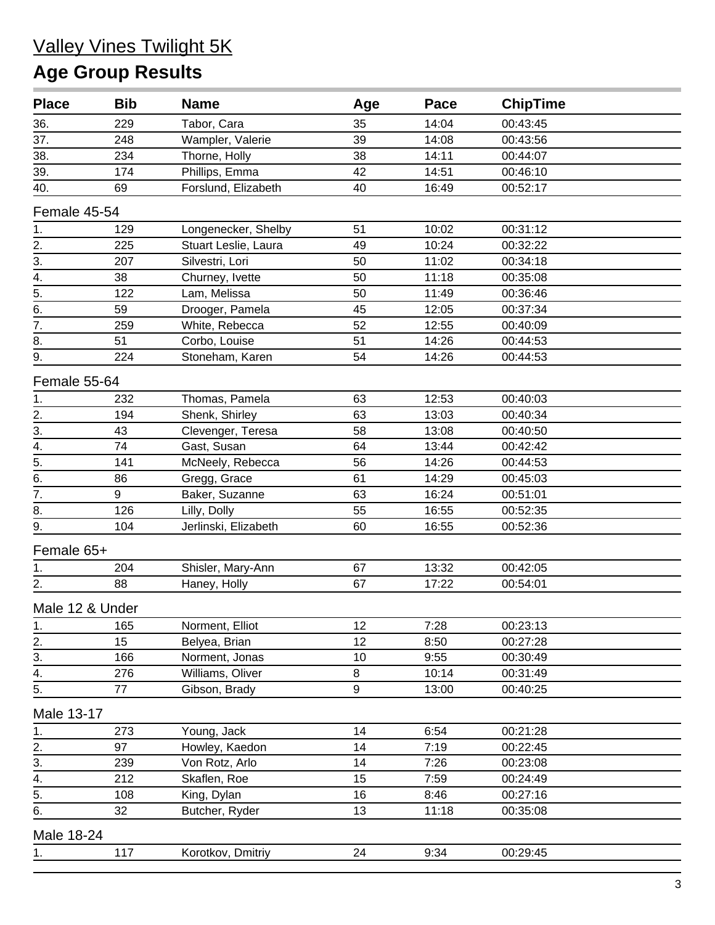#### Valley Vines Twilight 5K **Age Group Results**

| <b>Place</b>                       | <b>Bib</b> | <b>Name</b>          | Age              | Pace  | <b>ChipTime</b> |  |
|------------------------------------|------------|----------------------|------------------|-------|-----------------|--|
| 36.                                | 229        | Tabor, Cara          | 35               | 14:04 | 00:43:45        |  |
| 37.                                | 248        | Wampler, Valerie     | 39               | 14:08 | 00:43:56        |  |
| 38.                                | 234        | Thorne, Holly        | 38               | 14:11 | 00:44:07        |  |
| 39.                                | 174        | Phillips, Emma       | 42               | 14:51 | 00:46:10        |  |
| 40.                                | 69         | Forslund, Elizabeth  | 40               | 16:49 | 00:52:17        |  |
| Female 45-54                       |            |                      |                  |       |                 |  |
| 1.                                 | 129        | Longenecker, Shelby  | 51               | 10:02 | 00:31:12        |  |
| 2.                                 | 225        | Stuart Leslie, Laura | 49               | 10:24 | 00:32:22        |  |
| $\overline{3}$ .                   | 207        | Silvestri, Lori      | 50               | 11:02 | 00:34:18        |  |
| 4.                                 | 38         | Churney, Ivette      | 50               | 11:18 | 00:35:08        |  |
| $\overline{5}$ .                   | 122        | Lam, Melissa         | 50               | 11:49 | 00:36:46        |  |
| 6.                                 | 59         | Drooger, Pamela      | 45               | 12:05 | 00:37:34        |  |
| 7.                                 | 259        | White, Rebecca       | 52               | 12:55 | 00:40:09        |  |
| 8.                                 | 51         | Corbo, Louise        | 51               | 14:26 | 00:44:53        |  |
| 9.                                 | 224        | Stoneham, Karen      | 54               | 14:26 | 00:44:53        |  |
| Female 55-64                       |            |                      |                  |       |                 |  |
|                                    | 232        | Thomas, Pamela       | 63               | 12:53 | 00:40:03        |  |
| $\frac{1}{2}$ .<br>$\frac{2}{3}$ . | 194        | Shenk, Shirley       | 63               | 13:03 | 00:40:34        |  |
|                                    | 43         | Clevenger, Teresa    | 58               | 13:08 | 00:40:50        |  |
|                                    | 74         | Gast, Susan          | 64               | 13:44 | 00:42:42        |  |
| $\frac{4}{5}$                      | 141        | McNeely, Rebecca     | 56               | 14:26 | 00:44:53        |  |
| $\overline{6}$ .                   | 86         | Gregg, Grace         | 61               | 14:29 | 00:45:03        |  |
| $\overline{7}$ .                   | 9          | Baker, Suzanne       | 63               | 16:24 | 00:51:01        |  |
| 8.                                 | 126        | Lilly, Dolly         | 55               | 16:55 | 00:52:35        |  |
| 9.                                 | 104        | Jerlinski, Elizabeth | 60               | 16:55 | 00:52:36        |  |
| Female 65+                         |            |                      |                  |       |                 |  |
| 1.                                 | 204        | Shisler, Mary-Ann    | 67               | 13:32 | 00:42:05        |  |
| 2.                                 | 88         | Haney, Holly         | 67               | 17:22 | 00:54:01        |  |
| Male 12 & Under                    |            |                      |                  |       |                 |  |
| 1.                                 | 165        | Norment, Elliot      | 12               | 7:28  | 00:23:13        |  |
| 2.                                 | 15         | Belyea, Brian        | 12               | 8:50  | 00:27:28        |  |
| 3.                                 | 166        | Norment, Jonas       | 10               | 9:55  | 00:30:49        |  |
| $\overline{4}$ .                   | 276        | Williams, Oliver     | 8                | 10:14 | 00:31:49        |  |
| 5.                                 | 77         | Gibson, Brady        | $\boldsymbol{9}$ | 13:00 | 00:40:25        |  |
| Male 13-17                         |            |                      |                  |       |                 |  |
| 1.                                 | 273        | Young, Jack          | 14               | 6:54  | 00:21:28        |  |
| 2.                                 | 97         | Howley, Kaedon       | 14               | 7:19  | 00:22:45        |  |
| 3.                                 | 239        | Von Rotz, Arlo       | 14               | 7:26  | 00:23:08        |  |
| $\stackrel{4}{-}$                  | 212        | Skaflen, Roe         | 15               | 7:59  | 00:24:49        |  |
| 5.                                 | 108        | King, Dylan          | 16               | 8:46  | 00:27:16        |  |
| 6.                                 | 32         | Butcher, Ryder       | 13               | 11:18 | 00:35:08        |  |
| Male 18-24                         |            |                      |                  |       |                 |  |
| $\frac{1}{ }$                      | 117        | Korotkov, Dmitriy    | 24               | 9:34  | 00:29:45        |  |
|                                    |            |                      |                  |       |                 |  |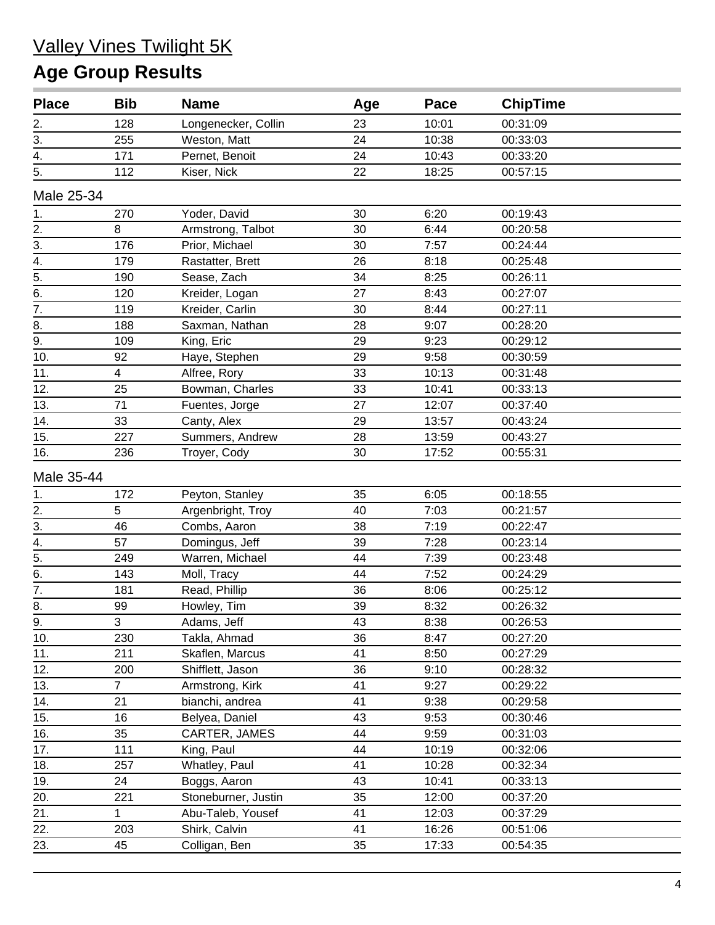#### Valley Vines Twilight 5K **Age Group Results**

| <b>Place</b>     | <b>Bib</b>     | <b>Name</b>         | Age | Pace  | <b>ChipTime</b> |  |
|------------------|----------------|---------------------|-----|-------|-----------------|--|
|                  | 128            | Longenecker, Collin | 23  | 10:01 | 00:31:09        |  |
| $\frac{2}{3}$ .  | 255            | Weston, Matt        | 24  | 10:38 | 00:33:03        |  |
| $\overline{4}$ . | 171            | Pernet, Benoit      | 24  | 10:43 | 00:33:20        |  |
| 5.               | 112            | Kiser, Nick         | 22  | 18:25 | 00:57:15        |  |
| Male 25-34       |                |                     |     |       |                 |  |
| 1.               | 270            | Yoder, David        | 30  | 6:20  | 00:19:43        |  |
|                  | 8              | Armstrong, Talbot   | 30  | 6:44  | 00:20:58        |  |
| $\frac{2}{3}$    | 176            | Prior, Michael      | 30  | 7:57  | 00:24:44        |  |
| $\overline{4}$ . | 179            | Rastatter, Brett    | 26  | 8:18  | 00:25:48        |  |
| $\overline{5}$ . | 190            | Sease, Zach         | 34  | 8:25  | 00:26:11        |  |
| $\overline{6}$ . | 120            | Kreider, Logan      | 27  | 8:43  | 00:27:07        |  |
| $\overline{7}$ . | 119            | Kreider, Carlin     | 30  | 8:44  | 00:27:11        |  |
| 8.               | 188            | Saxman, Nathan      | 28  | 9:07  | 00:28:20        |  |
| $\overline{9}$ . | 109            | King, Eric          | 29  | 9:23  | 00:29:12        |  |
| 10.              | 92             | Haye, Stephen       | 29  | 9:58  | 00:30:59        |  |
| 11.              | 4              | Alfree, Rory        | 33  | 10:13 | 00:31:48        |  |
| 12.              | 25             | Bowman, Charles     | 33  | 10:41 | 00:33:13        |  |
| 13.              | 71             | Fuentes, Jorge      | 27  | 12:07 | 00:37:40        |  |
| 14.              | 33             | Canty, Alex         | 29  | 13:57 | 00:43:24        |  |
| 15.              | 227            | Summers, Andrew     | 28  | 13:59 | 00:43:27        |  |
| 16.              | 236            | Troyer, Cody        | 30  | 17:52 | 00:55:31        |  |
| Male 35-44       |                |                     |     |       |                 |  |
| 1.               | 172            | Peyton, Stanley     | 35  | 6:05  | 00:18:55        |  |
|                  | 5              | Argenbright, Troy   | 40  | 7:03  | 00:21:57        |  |
| $\frac{2}{3}$    | 46             | Combs, Aaron        | 38  | 7:19  | 00:22:47        |  |
| $\overline{4}$ . | 57             | Domingus, Jeff      | 39  | 7:28  | 00:23:14        |  |
| $\overline{5}$ . | 249            | Warren, Michael     | 44  | 7:39  | 00:23:48        |  |
| $rac{6}{7}$ .    | 143            | Moll, Tracy         | 44  | 7:52  | 00:24:29        |  |
|                  | 181            | Read, Phillip       | 36  | 8:06  | 00:25:12        |  |
| $\overline{8}$ . | 99             | Howley, Tim         | 39  | 8:32  | 00:26:32        |  |
| 9.               | 3              | Adams, Jeff         | 43  | 8:38  | 00:26:53        |  |
| 10.              | 230            | Takla, Ahmad        | 36  | 8:47  | 00:27:20        |  |
| 11.              | 211            | Skaflen, Marcus     | 41  | 8:50  | 00:27:29        |  |
| 12.              | 200            | Shifflett, Jason    | 36  | 9:10  | 00:28:32        |  |
| 13.              | $\overline{7}$ | Armstrong, Kirk     | 41  | 9:27  | 00:29:22        |  |
| 14.              | 21             | bianchi, andrea     | 41  | 9:38  | 00:29:58        |  |
| 15.              | 16             | Belyea, Daniel      | 43  | 9:53  | 00:30:46        |  |
| 16.              | 35             | CARTER, JAMES       | 44  | 9:59  | 00:31:03        |  |
| 17.              | 111            | King, Paul          | 44  | 10:19 | 00:32:06        |  |
| 18.              | 257            | Whatley, Paul       | 41  | 10:28 | 00:32:34        |  |
| 19.              | 24             | Boggs, Aaron        | 43  | 10:41 | 00:33:13        |  |
| 20.              | 221            | Stoneburner, Justin | 35  | 12:00 | 00:37:20        |  |
| 21.              | 1              | Abu-Taleb, Yousef   | 41  | 12:03 | 00:37:29        |  |
| 22.              | 203            | Shirk, Calvin       | 41  | 16:26 | 00:51:06        |  |
| 23.              | 45             | Colligan, Ben       | 35  | 17:33 | 00:54:35        |  |
|                  |                |                     |     |       |                 |  |